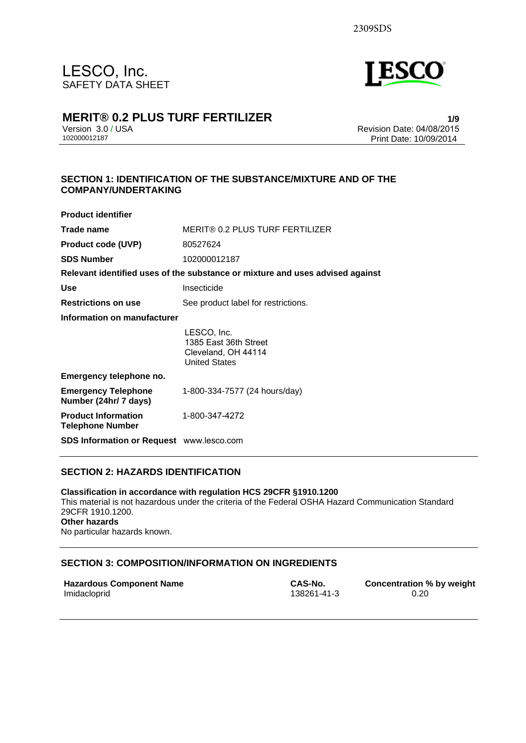

## **MERIT® 0.2 PLUS TURF FERTILIZER**

Version 3.0 / USA 102000012187

**1/9** Revision Date: 04/08/2015 Print Date: 10/09/2014

### **SECTION 1: IDENTIFICATION OF THE SUBSTANCE/MIXTURE AND OF THE COMPANY/UNDERTAKING**

| <b>Product identifier</b>                                                     |                                                                                     |  |
|-------------------------------------------------------------------------------|-------------------------------------------------------------------------------------|--|
| Trade name                                                                    | MERIT® 0.2 PLUS TURF FERTILIZER                                                     |  |
| <b>Product code (UVP)</b>                                                     | 80527624                                                                            |  |
| <b>SDS Number</b>                                                             | 102000012187                                                                        |  |
| Relevant identified uses of the substance or mixture and uses advised against |                                                                                     |  |
| <b>Use</b>                                                                    | Insecticide                                                                         |  |
| <b>Restrictions on use</b>                                                    | See product label for restrictions.                                                 |  |
| Information on manufacturer                                                   |                                                                                     |  |
|                                                                               | LESCO, Inc.<br>1385 East 36th Street<br>Cleveland, OH 44114<br><b>United States</b> |  |
| Emergency telephone no.                                                       |                                                                                     |  |
| <b>Emergency Telephone</b><br>Number (24hr/ 7 days)                           | 1-800-334-7577 (24 hours/day)                                                       |  |
| <b>Product Information</b><br><b>Telephone Number</b>                         | 1-800-347-4272                                                                      |  |
| SDS Information or Request www.lesco.com                                      |                                                                                     |  |

### **SECTION 2: HAZARDS IDENTIFICATION**

**Classification in accordance with regulation HCS 29CFR §1910.1200**  This material is not hazardous under the criteria of the Federal OSHA Hazard Communication Standard 29CFR 1910.1200. **Other hazards**  No particular hazards known.

### **SECTION 3: COMPOSITION/INFORMATION ON INGREDIENTS**

| <b>Hazardous Component Name</b> | CAS-No.     | <b>Concentration % by weight</b> |
|---------------------------------|-------------|----------------------------------|
| Imidacloprid                    | 138261-41-3 | 0.20                             |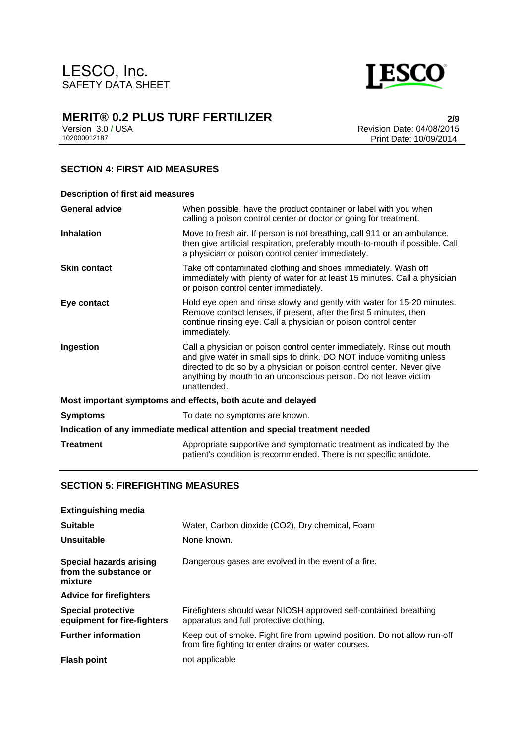

Version 3.0 / USA 102000012187

**2/9** Revision Date: 04/08/2015 Print Date: 10/09/2014

### **SECTION 4: FIRST AID MEASURES**

| <b>Description of first aid measures</b>                                   |                                                                                                                                                                                                                                                                                                           |  |
|----------------------------------------------------------------------------|-----------------------------------------------------------------------------------------------------------------------------------------------------------------------------------------------------------------------------------------------------------------------------------------------------------|--|
| <b>General advice</b>                                                      | When possible, have the product container or label with you when<br>calling a poison control center or doctor or going for treatment.                                                                                                                                                                     |  |
| <b>Inhalation</b>                                                          | Move to fresh air. If person is not breathing, call 911 or an ambulance,<br>then give artificial respiration, preferably mouth-to-mouth if possible. Call<br>a physician or poison control center immediately.                                                                                            |  |
| <b>Skin contact</b>                                                        | Take off contaminated clothing and shoes immediately. Wash off<br>immediately with plenty of water for at least 15 minutes. Call a physician<br>or poison control center immediately.                                                                                                                     |  |
| Eye contact                                                                | Hold eye open and rinse slowly and gently with water for 15-20 minutes.<br>Remove contact lenses, if present, after the first 5 minutes, then<br>continue rinsing eye. Call a physician or poison control center<br>immediately.                                                                          |  |
| Ingestion                                                                  | Call a physician or poison control center immediately. Rinse out mouth<br>and give water in small sips to drink. DO NOT induce vomiting unless<br>directed to do so by a physician or poison control center. Never give<br>anything by mouth to an unconscious person. Do not leave victim<br>unattended. |  |
|                                                                            | Most important symptoms and effects, both acute and delayed                                                                                                                                                                                                                                               |  |
| <b>Symptoms</b>                                                            | To date no symptoms are known.                                                                                                                                                                                                                                                                            |  |
| Indication of any immediate medical attention and special treatment needed |                                                                                                                                                                                                                                                                                                           |  |
| <b>Treatment</b>                                                           | Appropriate supportive and symptomatic treatment as indicated by the<br>patient's condition is recommended. There is no specific antidote.                                                                                                                                                                |  |

### **SECTION 5: FIREFIGHTING MEASURES**

| <b>Extinguishing media</b>                                  |                                                                                                                                  |
|-------------------------------------------------------------|----------------------------------------------------------------------------------------------------------------------------------|
| <b>Suitable</b>                                             | Water, Carbon dioxide (CO2), Dry chemical, Foam                                                                                  |
| Unsuitable                                                  | None known.                                                                                                                      |
| Special hazards arising<br>from the substance or<br>mixture | Dangerous gases are evolved in the event of a fire.                                                                              |
| <b>Advice for firefighters</b>                              |                                                                                                                                  |
| <b>Special protective</b><br>equipment for fire-fighters    | Firefighters should wear NIOSH approved self-contained breathing<br>apparatus and full protective clothing.                      |
| <b>Further information</b>                                  | Keep out of smoke. Fight fire from upwind position. Do not allow run-off<br>from fire fighting to enter drains or water courses. |
| <b>Flash point</b>                                          | not applicable                                                                                                                   |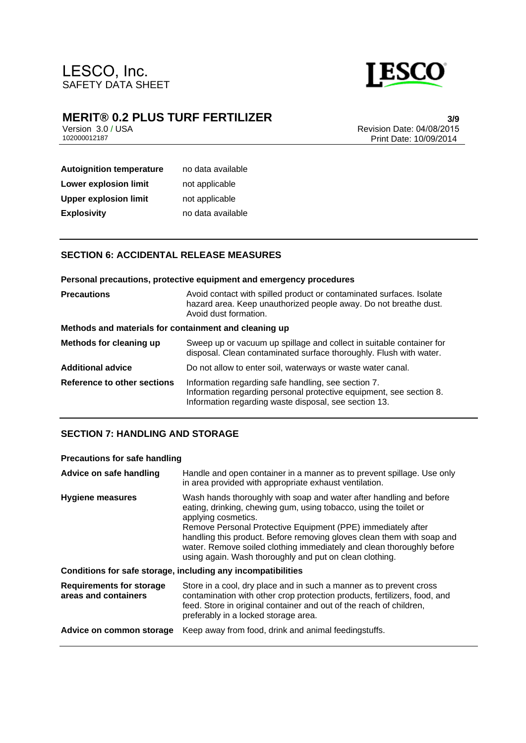

Version 3.0 / USA 102000012187

**3/9** Revision Date: 04/08/2015 Print Date: 10/09/2014

# **Autoignition temperature** no data available **Lower explosion limit** not applicable **Upper explosion limit** not applicable **Explosivity** no data available

### **SECTION 6: ACCIDENTAL RELEASE MEASURES**

|                                                       | Personal precautions, protective equipment and emergency procedures                                                                                                                 |
|-------------------------------------------------------|-------------------------------------------------------------------------------------------------------------------------------------------------------------------------------------|
| <b>Precautions</b>                                    | Avoid contact with spilled product or contaminated surfaces. Isolate<br>hazard area. Keep unauthorized people away. Do not breathe dust.<br>Avoid dust formation.                   |
| Methods and materials for containment and cleaning up |                                                                                                                                                                                     |
| Methods for cleaning up                               | Sweep up or vacuum up spillage and collect in suitable container for<br>disposal. Clean contaminated surface thoroughly. Flush with water.                                          |
| Additional advice                                     | Do not allow to enter soil, waterways or waste water canal.                                                                                                                         |
| <b>Reference to other sections</b>                    | Information regarding safe handling, see section 7.<br>Information regarding personal protective equipment, see section 8.<br>Information regarding waste disposal, see section 13. |

### **SECTION 7: HANDLING AND STORAGE**

### **Precautions for safe handling**

| Advice on safe handling                                 | Handle and open container in a manner as to prevent spillage. Use only<br>in area provided with appropriate exhaust ventilation.                                                                                                                                                                                                                                                                                                              |
|---------------------------------------------------------|-----------------------------------------------------------------------------------------------------------------------------------------------------------------------------------------------------------------------------------------------------------------------------------------------------------------------------------------------------------------------------------------------------------------------------------------------|
| <b>Hygiene measures</b>                                 | Wash hands thoroughly with soap and water after handling and before<br>eating, drinking, chewing gum, using tobacco, using the toilet or<br>applying cosmetics.<br>Remove Personal Protective Equipment (PPE) immediately after<br>handling this product. Before removing gloves clean them with soap and<br>water. Remove soiled clothing immediately and clean thoroughly before<br>using again. Wash thoroughly and put on clean clothing. |
|                                                         | Conditions for safe storage, including any incompatibilities                                                                                                                                                                                                                                                                                                                                                                                  |
| <b>Requirements for storage</b><br>areas and containers | Store in a cool, dry place and in such a manner as to prevent cross<br>contamination with other crop protection products, fertilizers, food, and<br>feed. Store in original container and out of the reach of children,<br>preferably in a locked storage area.                                                                                                                                                                               |
| Advice on common storage                                | Keep away from food, drink and animal feedingstuffs.                                                                                                                                                                                                                                                                                                                                                                                          |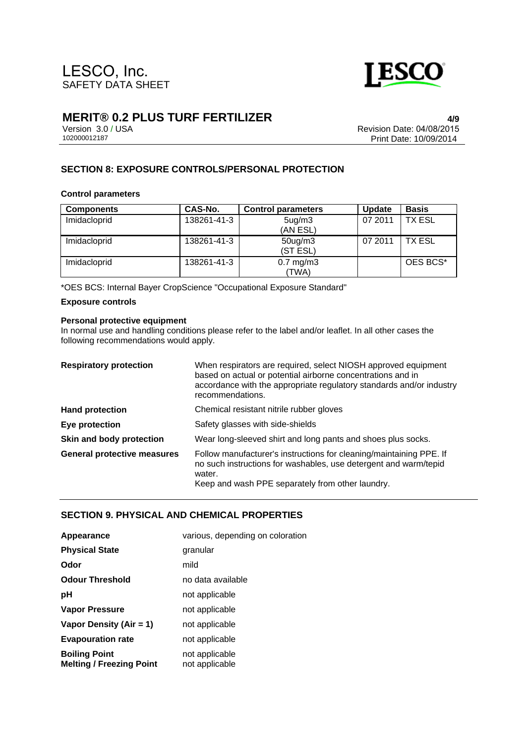

Version 3.0 / USA 102000012187

**4/9** Revision Date: 04/08/2015 Print Date: 10/09/2014

### **SECTION 8: EXPOSURE CONTROLS/PERSONAL PROTECTION**

#### **Control parameters**

| <b>Components</b> | CAS-No.     | <b>Control parameters</b>        | <b>Update</b> | <b>Basis</b> |
|-------------------|-------------|----------------------------------|---------------|--------------|
| Imidacloprid      | 138261-41-3 | 5 <sub>ug</sub> /m3<br>(AN ESL)  | 07 2011       | TX ESL       |
| Imidacloprid      | 138261-41-3 | 50 <sub>ug</sub> /m3<br>(ST ESL) | 07 2011       | TX ESL       |
| Imidacloprid      | 138261-41-3 | $0.7$ mg/m $3$<br>(TWA)          |               | OES BCS*     |

\*OES BCS: Internal Bayer CropScience "Occupational Exposure Standard"

#### **Exposure controls**

#### **Personal protective equipment**

In normal use and handling conditions please refer to the label and/or leaflet. In all other cases the following recommendations would apply.

| <b>Respiratory protection</b>      | When respirators are required, select NIOSH approved equipment<br>based on actual or potential airborne concentrations and in<br>accordance with the appropriate regulatory standards and/or industry<br>recommendations. |
|------------------------------------|---------------------------------------------------------------------------------------------------------------------------------------------------------------------------------------------------------------------------|
| <b>Hand protection</b>             | Chemical resistant nitrile rubber gloves                                                                                                                                                                                  |
| Eye protection                     | Safety glasses with side-shields                                                                                                                                                                                          |
| Skin and body protection           | Wear long-sleeved shirt and long pants and shoes plus socks.                                                                                                                                                              |
| <b>General protective measures</b> | Follow manufacturer's instructions for cleaning/maintaining PPE. If<br>no such instructions for washables, use detergent and warm/tepid<br>water.<br>Keep and wash PPE separately from other laundry.                     |

### **SECTION 9. PHYSICAL AND CHEMICAL PROPERTIES**

| Appearance                                              | various, depending on coloration |
|---------------------------------------------------------|----------------------------------|
| <b>Physical State</b>                                   | granular                         |
| Odor                                                    | mild                             |
| <b>Odour Threshold</b>                                  | no data available                |
| рH                                                      | not applicable                   |
| <b>Vapor Pressure</b>                                   | not applicable                   |
| Vapor Density (Air = 1)                                 | not applicable                   |
| <b>Evapouration rate</b>                                | not applicable                   |
| <b>Boiling Point</b><br><b>Melting / Freezing Point</b> | not applicable<br>not applicable |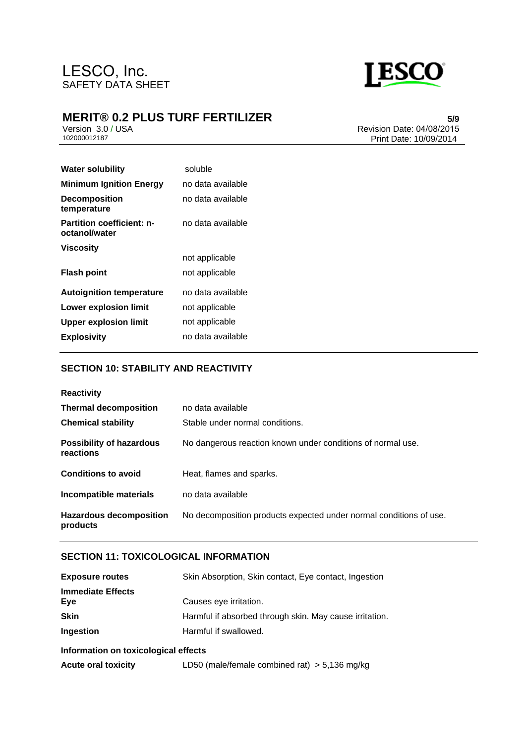

# **MERIT® 0.2 PLUS TURF FERTILIZER**

Version 3.0 / USA 102000012187

**5/9** Revision Date: 04/08/2015 Print Date: 10/09/2014

| <b>Water solubility</b>                           | soluble           |
|---------------------------------------------------|-------------------|
| <b>Minimum Ignition Energy</b>                    | no data available |
| <b>Decomposition</b><br>temperature               | no data available |
| <b>Partition coefficient: n-</b><br>octanol/water | no data available |
| <b>Viscosity</b>                                  |                   |
|                                                   | not applicable    |
| <b>Flash point</b>                                | not applicable    |
| <b>Autoignition temperature</b>                   | no data available |
| Lower explosion limit                             | not applicable    |
| <b>Upper explosion limit</b>                      | not applicable    |
| <b>Explosivity</b>                                | no data available |

### **SECTION 10: STABILITY AND REACTIVITY**

| <b>Reactivity</b>                            |                                                                    |
|----------------------------------------------|--------------------------------------------------------------------|
| <b>Thermal decomposition</b>                 | no data available                                                  |
| <b>Chemical stability</b>                    | Stable under normal conditions.                                    |
| <b>Possibility of hazardous</b><br>reactions | No dangerous reaction known under conditions of normal use.        |
| <b>Conditions to avoid</b>                   | Heat, flames and sparks.                                           |
| Incompatible materials                       | no data available                                                  |
| <b>Hazardous decomposition</b><br>products   | No decomposition products expected under normal conditions of use. |

### **SECTION 11: TOXICOLOGICAL INFORMATION**

| <b>Exposure routes</b>               | Skin Absorption, Skin contact, Eye contact, Ingestion   |  |
|--------------------------------------|---------------------------------------------------------|--|
| <b>Immediate Effects</b><br>Eye      | Causes eye irritation.                                  |  |
| <b>Skin</b>                          | Harmful if absorbed through skin. May cause irritation. |  |
| Ingestion                            | Harmful if swallowed.                                   |  |
| Information on toxicological effects |                                                         |  |
| <b>Acute oral toxicity</b>           | LD50 (male/female combined rat) $>$ 5,136 mg/kg         |  |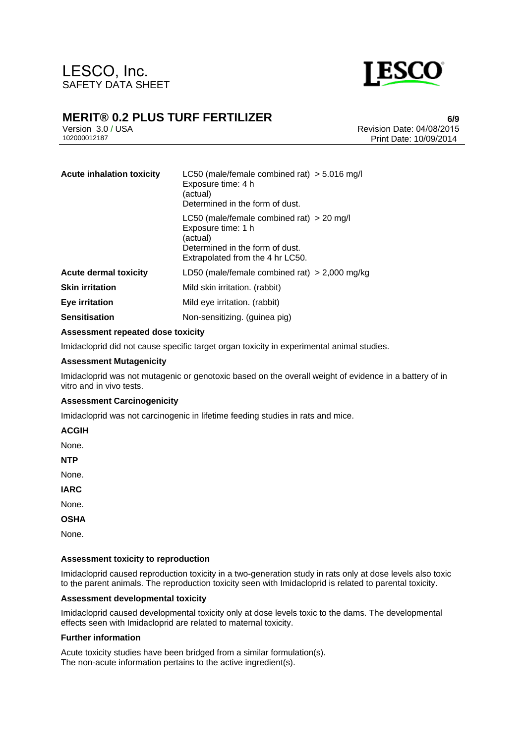

# **MERIT® 0.2 PLUS TURF FERTILIZER**

Version 3.0 / USA 102000012187

**6/9** Revision Date: 04/08/2015 Print Date: 10/09/2014

| <b>Acute inhalation toxicity</b> | LC50 (male/female combined rat) $> 5.016$ mg/l<br>Exposure time: 4 h<br>(actual)<br>Determined in the form of dust.                                  |
|----------------------------------|------------------------------------------------------------------------------------------------------------------------------------------------------|
|                                  | LC50 (male/female combined rat) $>$ 20 mg/l<br>Exposure time: 1 h<br>(actual)<br>Determined in the form of dust.<br>Extrapolated from the 4 hr LC50. |
| <b>Acute dermal toxicity</b>     | LD50 (male/female combined rat) $>$ 2,000 mg/kg                                                                                                      |
| <b>Skin irritation</b>           | Mild skin irritation. (rabbit)                                                                                                                       |
| Eye irritation                   | Mild eye irritation. (rabbit)                                                                                                                        |
| <b>Sensitisation</b>             | Non-sensitizing. (guinea pig)                                                                                                                        |

#### **Assessment repeated dose toxicity**

Imidacloprid did not cause specific target organ toxicity in experimental animal studies.

#### **Assessment Mutagenicity**

Imidacloprid was not mutagenic or genotoxic based on the overall weight of evidence in a battery of in vitro and in vivo tests.

#### **Assessment Carcinogenicity**

Imidacloprid was not carcinogenic in lifetime feeding studies in rats and mice.

**ACGIH** 

None.

**NTP** 

None.

**IARC** 

None.

**OSHA** 

None.

#### **Assessment toxicity to reproduction**

Imidacloprid caused reproduction toxicity in a two-generation study in rats only at dose levels also toxic to the parent animals. The reproduction toxicity seen with Imidacloprid is related to parental toxicity.

#### **Assessment developmental toxicity**

Imidacloprid caused developmental toxicity only at dose levels toxic to the dams. The developmental effects seen with Imidacloprid are related to maternal toxicity.

#### **Further information**

Acute toxicity studies have been bridged from a similar formulation(s). The non-acute information pertains to the active ingredient(s).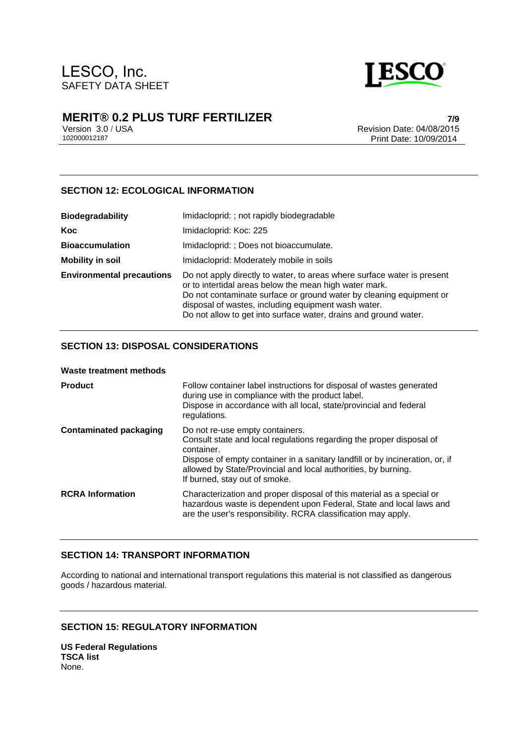

Version 3.0 / USA 102000012187

**7/9** Revision Date: 04/08/2015 Print Date: 10/09/2014

### **SECTION 12: ECOLOGICAL INFORMATION**

| <b>Biodegradability</b>          | Imidacloprid: ; not rapidly biodegradable                                                                                                                                                                                                                                                                                           |
|----------------------------------|-------------------------------------------------------------------------------------------------------------------------------------------------------------------------------------------------------------------------------------------------------------------------------------------------------------------------------------|
| <b>Koc</b>                       | Imidacloprid: Koc: 225                                                                                                                                                                                                                                                                                                              |
| <b>Bioaccumulation</b>           | Imidacloprid: ; Does not bioaccumulate.                                                                                                                                                                                                                                                                                             |
| <b>Mobility in soil</b>          | Imidacloprid: Moderately mobile in soils                                                                                                                                                                                                                                                                                            |
| <b>Environmental precautions</b> | Do not apply directly to water, to areas where surface water is present<br>or to intertidal areas below the mean high water mark.<br>Do not contaminate surface or ground water by cleaning equipment or<br>disposal of wastes, including equipment wash water.<br>Do not allow to get into surface water, drains and ground water. |

### **SECTION 13: DISPOSAL CONSIDERATIONS**

| Waste treatment methods       |                                                                                                                                                                                                                                                                                                          |
|-------------------------------|----------------------------------------------------------------------------------------------------------------------------------------------------------------------------------------------------------------------------------------------------------------------------------------------------------|
| <b>Product</b>                | Follow container label instructions for disposal of wastes generated<br>during use in compliance with the product label.<br>Dispose in accordance with all local, state/provincial and federal<br>regulations.                                                                                           |
| <b>Contaminated packaging</b> | Do not re-use empty containers.<br>Consult state and local regulations regarding the proper disposal of<br>container.<br>Dispose of empty container in a sanitary landfill or by incineration, or, if<br>allowed by State/Provincial and local authorities, by burning.<br>If burned, stay out of smoke. |
| <b>RCRA Information</b>       | Characterization and proper disposal of this material as a special or<br>hazardous waste is dependent upon Federal, State and local laws and<br>are the user's responsibility. RCRA classification may apply.                                                                                            |

### **SECTION 14: TRANSPORT INFORMATION**

According to national and international transport regulations this material is not classified as dangerous goods / hazardous material.

### **SECTION 15: REGULATORY INFORMATION**

**US Federal Regulations TSCA list** None.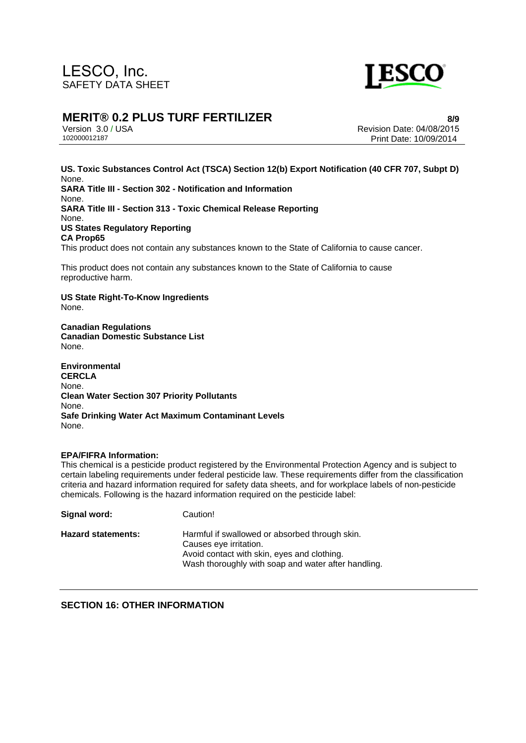

## **MERIT® 0.2 PLUS TURF FERTILIZER**

Version 3.0 / USA 102000012187

**8/9** Revision Date: 04/08/2015 Print Date: 10/09/2014

**US. Toxic Substances Control Act (TSCA) Section 12(b) Export Notification (40 CFR 707, Subpt D)** None. **SARA Title III - Section 302 - Notification and Information** None. **SARA Title III - Section 313 - Toxic Chemical Release Reporting** None. **US States Regulatory Reporting CA Prop65** This product does not contain any substances known to the State of California to cause cancer.

This product does not contain any substances known to the State of California to cause reproductive harm.

**US State Right-To-Know Ingredients** None.

**Canadian Regulations Canadian Domestic Substance List**  None.

**Environmental CERCLA**  None. **Clean Water Section 307 Priority Pollutants**  None. **Safe Drinking Water Act Maximum Contaminant Levels**  None.

#### **EPA/FIFRA Information:**

This chemical is a pesticide product registered by the Environmental Protection Agency and is subject to certain labeling requirements under federal pesticide law. These requirements differ from the classification criteria and hazard information required for safety data sheets, and for workplace labels of non-pesticide chemicals. Following is the hazard information required on the pesticide label:

| Signal word:       | Caution!                                                                                                                                                                       |
|--------------------|--------------------------------------------------------------------------------------------------------------------------------------------------------------------------------|
| Hazard statements: | Harmful if swallowed or absorbed through skin.<br>Causes eye irritation.<br>Avoid contact with skin, eyes and clothing.<br>Wash thoroughly with soap and water after handling. |

**SECTION 16: OTHER INFORMATION**